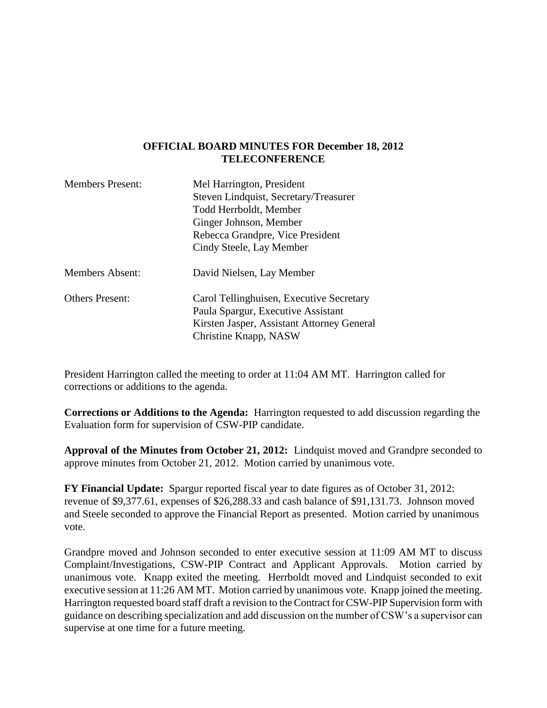## **OFFICIAL BOARD MINUTES FOR December 18, 2012 TELECONFERENCE**

| <b>Members Present:</b> | Mel Harrington, President                  |
|-------------------------|--------------------------------------------|
|                         | Steven Lindquist, Secretary/Treasurer      |
|                         | Todd Herrboldt, Member                     |
|                         | Ginger Johnson, Member                     |
|                         | Rebecca Grandpre, Vice President           |
|                         | Cindy Steele, Lay Member                   |
| <b>Members Absent:</b>  | David Nielsen, Lay Member                  |
| <b>Others Present:</b>  | Carol Tellinghuisen, Executive Secretary   |
|                         | Paula Spargur, Executive Assistant         |
|                         | Kirsten Jasper, Assistant Attorney General |
|                         | Christine Knapp, NASW                      |

President Harrington called the meeting to order at 11:04 AM MT. Harrington called for corrections or additions to the agenda.

**Corrections or Additions to the Agenda:** Harrington requested to add discussion regarding the Evaluation form for supervision of CSW-PIP candidate.

**Approval of the Minutes from October 21, 2012:** Lindquist moved and Grandpre seconded to approve minutes from October 21, 2012. Motion carried by unanimous vote.

**FY Financial Update:** Spargur reported fiscal year to date figures as of October 31, 2012: revenue of \$9,377.61, expenses of \$26,288.33 and cash balance of \$91,131.73. Johnson moved and Steele seconded to approve the Financial Report as presented. Motion carried by unanimous vote.

Grandpre moved and Johnson seconded to enter executive session at 11:09 AM MT to discuss Complaint/Investigations, CSW-PIP Contract and Applicant Approvals. Motion carried by unanimous vote. Knapp exited the meeting. Herrboldt moved and Lindquist seconded to exit executive session at 11:26 AM MT. Motion carried by unanimous vote. Knapp joined the meeting. Harrington requested board staff draft a revision to the Contract for CSW-PIP Supervision form with guidance on describing specialization and add discussion on the number of CSW's a supervisor can supervise at one time for a future meeting.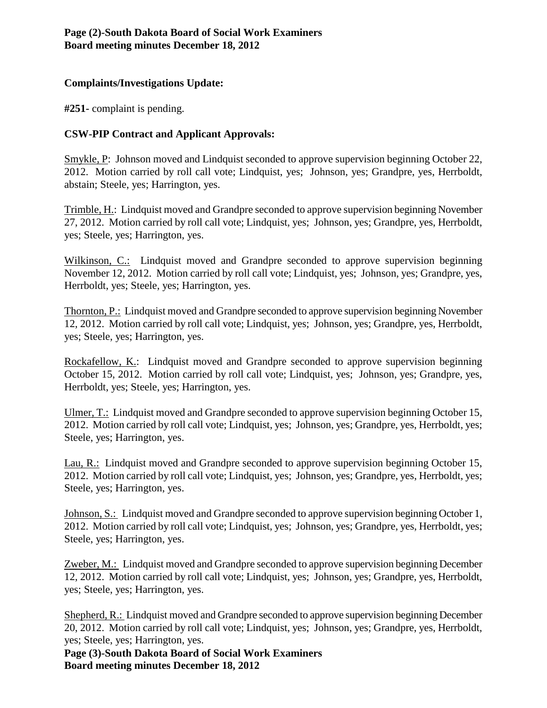## **Complaints/Investigations Update:**

**#251-** complaint is pending.

## **CSW-PIP Contract and Applicant Approvals:**

Smykle, P: Johnson moved and Lindquist seconded to approve supervision beginning October 22, 2012. Motion carried by roll call vote; Lindquist, yes; Johnson, yes; Grandpre, yes, Herrboldt, abstain; Steele, yes; Harrington, yes.

Trimble, H.: Lindquist moved and Grandpre seconded to approve supervision beginning November 27, 2012. Motion carried by roll call vote; Lindquist, yes; Johnson, yes; Grandpre, yes, Herrboldt, yes; Steele, yes; Harrington, yes.

Wilkinson, C.: Lindquist moved and Grandpre seconded to approve supervision beginning November 12, 2012. Motion carried by roll call vote; Lindquist, yes; Johnson, yes; Grandpre, yes, Herrboldt, yes; Steele, yes; Harrington, yes.

Thornton, P.: Lindquist moved and Grandpre seconded to approve supervision beginning November 12, 2012. Motion carried by roll call vote; Lindquist, yes; Johnson, yes; Grandpre, yes, Herrboldt, yes; Steele, yes; Harrington, yes.

Rockafellow, K.: Lindquist moved and Grandpre seconded to approve supervision beginning October 15, 2012. Motion carried by roll call vote; Lindquist, yes; Johnson, yes; Grandpre, yes, Herrboldt, yes; Steele, yes; Harrington, yes.

Ulmer, T.: Lindquist moved and Grandpre seconded to approve supervision beginning October 15, 2012. Motion carried by roll call vote; Lindquist, yes; Johnson, yes; Grandpre, yes, Herrboldt, yes; Steele, yes; Harrington, yes.

Lau, R.: Lindquist moved and Grandpre seconded to approve supervision beginning October 15, 2012. Motion carried by roll call vote; Lindquist, yes; Johnson, yes; Grandpre, yes, Herrboldt, yes; Steele, yes; Harrington, yes.

Johnson, S.: Lindquist moved and Grandpre seconded to approve supervision beginning October 1, 2012. Motion carried by roll call vote; Lindquist, yes; Johnson, yes; Grandpre, yes, Herrboldt, yes; Steele, yes; Harrington, yes.

Zweber, M.: Lindquist moved and Grandpre seconded to approve supervision beginning December 12, 2012. Motion carried by roll call vote; Lindquist, yes; Johnson, yes; Grandpre, yes, Herrboldt, yes; Steele, yes; Harrington, yes.

Shepherd, R.: Lindquist moved and Grandpre seconded to approve supervision beginning December 20, 2012. Motion carried by roll call vote; Lindquist, yes; Johnson, yes; Grandpre, yes, Herrboldt, yes; Steele, yes; Harrington, yes.

**Page (3)-South Dakota Board of Social Work Examiners Board meeting minutes December 18, 2012**